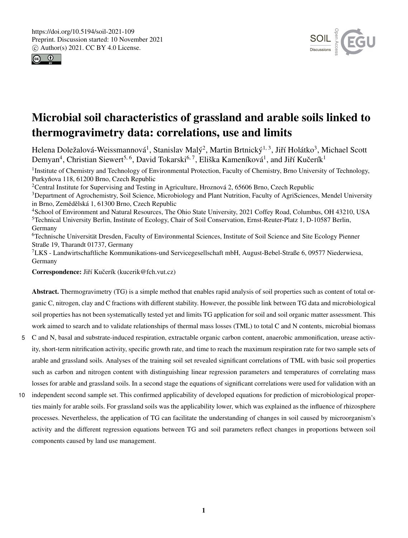



# Microbial soil characteristics of grassland and arable soils linked to thermogravimetry data: correlations, use and limits

Helena Doležalová-Weissmannová<sup>1</sup>, Stanislav Malý<sup>2</sup>, Martin Brtnický<sup>1, 3</sup>, Jiří Holátko<sup>3</sup>, Michael Scott Demyan<sup>4</sup>, Christian Siewert<sup>5, 6</sup>, David Tokarski<sup>6, 7</sup>, Eliška Kameníková<sup>1</sup>, and Jiří Kučerík<sup>1</sup>

<sup>1</sup>Institute of Chemistry and Technology of Environmental Protection, Faculty of Chemistry, Brno University of Technology, Purkyňova 118, 61200 Brno, Czech Republic

<sup>2</sup>Central Institute for Supervising and Testing in Agriculture, Hroznová 2, 65606 Brno, Czech Republic

<sup>3</sup>Department of Agrochemistry, Soil Science, Microbiology and Plant Nutrition, Faculty of AgriSciences, Mendel University in Brno, Zemědělská 1, 61300 Brno, Czech Republic

<sup>4</sup>School of Environment and Natural Resources, The Ohio State University, 2021 Coffey Road, Columbus, OH 43210, USA <sup>5</sup>Technical University Berlin, Institute of Ecology, Chair of Soil Conservation, Ernst-Reuter-Platz 1, D-10587 Berlin, Germany

<sup>6</sup>Technische Universität Dresden, Faculty of Environmental Sciences, Institute of Soil Science and Site Ecology Pienner Straße 19, Tharandt 01737, Germany

<sup>7</sup>LKS - Landwirtschaftliche Kommunikations-und Servicegesellschaft mbH, August-Bebel-Straße 6, 09577 Niederwiesa, Germany

Correspondence: Jiří Kučerík (kucerik@fch.vut.cz)

Abstract. Thermogravimetry (TG) is a simple method that enables rapid analysis of soil properties such as content of total organic C, nitrogen, clay and C fractions with different stability. However, the possible link between TG data and microbiological soil properties has not been systematically tested yet and limits TG application for soil and soil organic matter assessment. This work aimed to search and to validate relationships of thermal mass losses (TML) to total C and N contents, microbial biomass

- 5 C and N, basal and substrate-induced respiration, extractable organic carbon content, anaerobic ammonification, urease activity, short-term nitrification activity, specific growth rate, and time to reach the maximum respiration rate for two sample sets of arable and grassland soils. Analyses of the training soil set revealed significant correlations of TML with basic soil properties such as carbon and nitrogen content with distinguishing linear regression parameters and temperatures of correlating mass losses for arable and grassland soils. In a second stage the equations of significant correlations were used for validation with an
- 10 independent second sample set. This confirmed applicability of developed equations for prediction of microbiological properties mainly for arable soils. For grassland soils was the applicability lower, which was explained as the influence of rhizosphere processes. Nevertheless, the application of TG can facilitate the understanding of changes in soil caused by microorganism's activity and the different regression equations between TG and soil parameters reflect changes in proportions between soil components caused by land use management.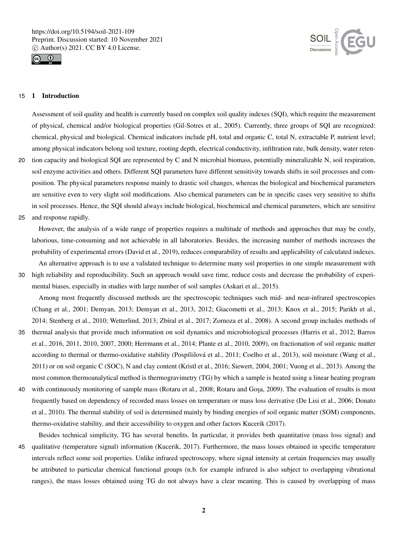



## 15 1 Introduction

Assessment of soil quality and health is currently based on complex soil quality indexes (SQI), which require the measurement of physical, chemical and/or biological properties (Gil-Sotres et al., 2005). Currently, three groups of SQI are recognized: chemical, physical and biological. Chemical indicators include pH, total and organic C, total N, extractable P, nutrient level; among physical indicators belong soil texture, rooting depth, electrical conductivity, infiltration rate, bulk density, water reten-20 tion capacity and biological SQI are represented by C and N microbial biomass, potentially mineralizable N, soil respiration,

- soil enzyme activities and others. Different SQI parameters have different sensitivity towards shifts in soil processes and composition. The physical parameters response mainly to drastic soil changes, whereas the biological and biochemical parameters are sensitive even to very slight soil modifications. Also chemical parameters can be in specific cases very sensitive to shifts in soil processes. Hence, the SQI should always include biological, biochemical and chemical parameters, which are sensitive
- 25 and response rapidly.

However, the analysis of a wide range of properties requires a multitude of methods and approaches that may be costly, laborious, time-consuming and not achievable in all laboratories. Besides, the increasing number of methods increases the probability of experimental errors (David et al., 2019), reduces comparability of results and applicability of calculated indexes.

An alternative approach is to use a validated technique to determine many soil properties in one simple measurement with 30 high reliability and reproducibility. Such an approach would save time, reduce costs and decrease the probability of experimental biases, especially in studies with large number of soil samples (Askari et al., 2015).

Among most frequently discussed methods are the spectroscopic techniques such mid- and near-infrared spectroscopies (Chang et al., 2001; Demyan, 2013; Demyan et al., 2013, 2012; Giacometti et al., 2013; Knox et al., 2015; Parikh et al., 2014; Stenberg et al., 2010; Wetterlind, 2013; Zbíral et al., 2017; Zornoza et al., 2008). A second group includes methods of

- 35 thermal analysis that provide much information on soil dynamics and microbiological processes (Harris et al., 2012; Barros et al., 2016, 2011, 2010, 2007, 2000; Herrmann et al., 2014; Plante et al., 2010, 2009), on fractionation of soil organic matter according to thermal or thermo-oxidative stability (Pospíšilová et al., 2011; Coelho et al., 2013), soil moisture (Wang et al., 2011) or on soil organic C (SOC), N and clay content (Kristl et al., 2016; Siewert, 2004, 2001; Vuong et al., 2013). Among the most common thermoanalytical method is thermogravimetry (TG) by which a sample is heated using a linear heating program
- 40 with continuously monitoring of sample mass (Rotaru et al., 2008; Rotaru and Goşa, 2009). The evaluation of results is most frequently based on dependency of recorded mass losses on temperature or mass loss derivative (De Lisi et al., 2006; Donato et al., 2010). The thermal stability of soil is determined mainly by binding energies of soil organic matter (SOM) components, thermo-oxidative stability, and their accessibility to oxygen and other factors Kucerik (2017).

Besides technical simplicity, TG has several benefits. In particular, it provides both quantitative (mass loss signal) and 45 qualitative (temperature signal) information (Kucerik, 2017). Furthermore, the mass losses obtained in specific temperature intervals reflect some soil properties. Unlike infrared spectroscopy, where signal intensity at certain frequencies may usually be attributed to particular chemical functional groups (n.b. for example infrared is also subject to overlapping vibrational ranges), the mass losses obtained using TG do not always have a clear meaning. This is caused by overlapping of mass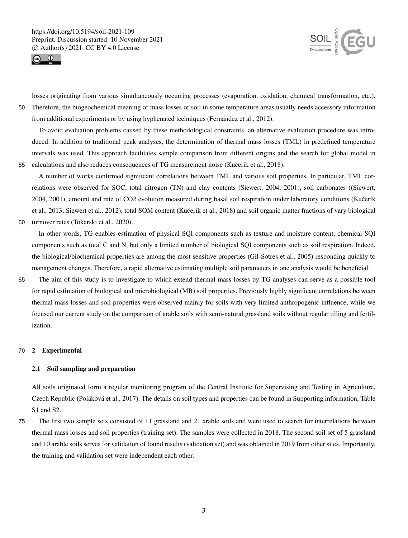



losses originating from various simultaneously occurring processes (evaporation, oxidation, chemical transformation, etc.). 50 Therefore, the biogeochemical meaning of mass losses of soil in some temperature areas usually needs accessory information from additional experiments or by using hyphenated techniques (Fernández et al., 2012).

To avoid evaluation problems caused by these methodological constraints, an alternative evaluation procedure was introduced. In addition to traditional peak analyses, the determination of thermal mass losses (TML) in predefined temperature intervals was used. This approach facilitates sample comparison from different origins and the search for global model in 55 calculations and also reduces consequences of TG measurement noise (Kučerík et al., 2018).

A number of works confirmed significant correlations between TML and various soil properties. In particular, TML correlations were observed for SOC, total nitrogen (TN) and clay contents (Siewert, 2004, 2001), soil carbonates ((Siewert, 2004, 2001), amount and rate of CO2 evolution measured during basal soil respiration under laboratory conditions (Kučerík et al., 2013; Siewert et al., 2012), total SOM content (Kučerík et al., 2018) and soil organic matter fractions of vary biological 60 turnover rates (Tokarski et al., 2020).

In other words, TG enables estimation of physical SQI components such as texture and moisture content, chemical SQI components such as total C and N, but only a limited number of biological SQI components such as soil respiration. Indeed, the biological/biochemical properties are among the most sensitive properties (Gil-Sotres et al., 2005) responding quickly to management changes. Therefore, a rapid alternative estimating multiple soil parameters in one analysis would be beneficial.

65 The aim of this study is to investigate to which extend thermal mass losses by TG analyses can serve as a possible tool for rapid estimation of biological and microbiological (MB) soil properties. Previously highly significant correlations between thermal mass losses and soil properties were observed mainly for soils with very limited anthropogenic influence, while we focused our current study on the comparison of arable soils with semi-natural grassland soils without regular tilling and fertilization.

## 70 2 Experimental

## 2.1 Soil sampling and preparation

All soils originated form a regular monitoring program of the Central Institute for Supervising and Testing in Agriculture, Czech Republic (Poláková et al., 2017). The details on soil types and properties can be found in Supporting information, Table S1 and S2.

75 The first two sample sets consisted of 11 grassland and 21 arable soils and were used to search for interrelations between thermal mass losses and soil properties (training set). The samples were collected in 2018. The second soil set of 5 grassland and 10 arable soils serves for validation of found results (validation set) and was obtained in 2019 from other sites. Importantly, the training and validation set were independent each other.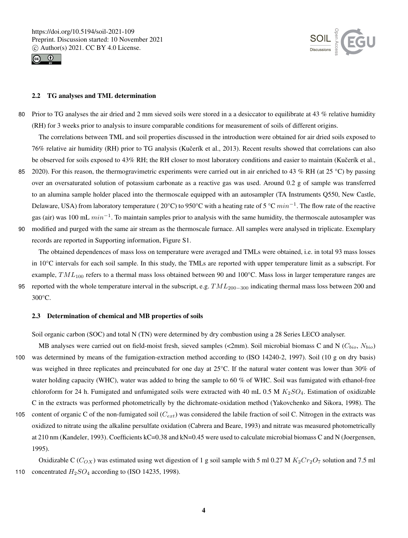



### 2.2 TG analyses and TML determination

80 Prior to TG analyses the air dried and 2 mm sieved soils were stored in a a desiccator to equilibrate at 43 % relative humidity (RH) for 3 weeks prior to analysis to insure comparable conditions for measurement of soils of different origins.

The correlations between TML and soil properties discussed in the introduction were obtained for air dried soils exposed to 76% relative air humidity (RH) prior to TG analysis (Kucerík et al., 2013). Recent results showed that correlations can also ˇ be observed for soils exposed to 43% RH; the RH closer to most laboratory conditions and easier to maintain (Kučerík et al.,

85 2020). For this reason, the thermogravimetric experiments were carried out in air enriched to 43 % RH (at 25 °C) by passing over an oversaturated solution of potassium carbonate as a reactive gas was used. Around 0.2 g of sample was transferred to an alumina sample holder placed into the thermoscale equipped with an autosampler (TA Instruments Q550, New Castle, Delaware, USA) from laboratory temperature (20°C) to 950°C with a heating rate of 5 °C  $min^{-1}$ . The flow rate of the reactive gas (air) was 100 mL  $min^{-1}$ . To maintain samples prior to analysis with the same humidity, the thermoscale autosampler was 90 modified and purged with the same air stream as the thermoscale furnace. All samples were analysed in triplicate. Exemplary

The obtained dependences of mass loss on temperature were averaged and TMLs were obtained, i.e. in total 93 mass losses in 10°C intervals for each soil sample. In this study, the TMLs are reported with upper temperature limit as a subscript. For example,  $TML_{100}$  refers to a thermal mass loss obtained between 90 and 100 $^{\circ}$ C. Mass loss in larger temperature ranges are 95 reported with the whole temperature interval in the subscript, e.g.  $TML_{200-300}$  indicating thermal mass loss between 200 and

300°C.

#### 2.3 Determination of chemical and MB properties of soils

records are reported in Supporting information, Figure S1.

Soil organic carbon (SOC) and total N (TN) were determined by dry combustion using a 28 Series LECO analyser.

- MB analyses were carried out on field-moist fresh, sieved samples (<2mm). Soil microbial biomass C and N ( $C_{bio}$ ,  $N_{bio}$ ) 100 was determined by means of the fumigation-extraction method according to (ISO 14240-2, 1997). Soil (10 g on dry basis) was weighed in three replicates and preincubated for one day at 25°C. If the natural water content was lower than 30% of water holding capacity (WHC), water was added to bring the sample to 60 % of WHC. Soil was fumigated with ethanol-free chloroform for 24 h. Fumigated and unfumigated soils were extracted with 40 mL 0.5 M  $K_2SO_4$ . Estimation of oxidizable C in the extracts was performed photometrically by the dichromate-oxidation method (Yakovchenko and Sikora, 1998). The
- 105 content of organic C of the non-fumigated soil  $(C_{ext})$  was considered the labile fraction of soil C. Nitrogen in the extracts was oxidized to nitrate using the alkaline persulfate oxidation (Cabrera and Beare, 1993) and nitrate was measured photometrically at 210 nm (Kandeler, 1993). Coefficients kC=0.38 and kN=0.45 were used to calculate microbial biomass C and N (Joergensen, 1995).

Oxidizable C ( $C_{OX}$ ) was estimated using wet digestion of 1 g soil sample with 5 ml 0.27 M  $K_2Cr_2O_7$  solution and 7.5 ml 110 concentrated  $H_2SO_4$  according to (ISO 14235, 1998).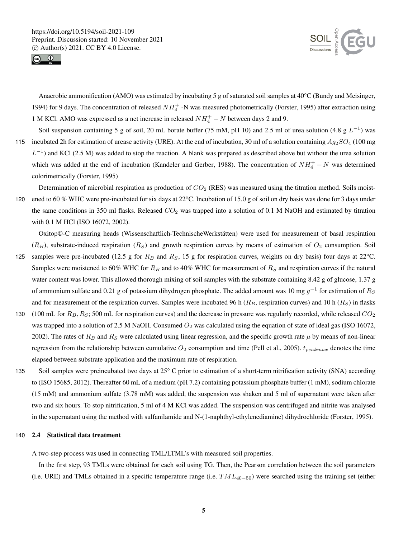



Anaerobic ammonification (AMO) was estimated by incubating 5 g of saturated soil samples at 40°C (Bundy and Meisinger, 1994) for 9 days. The concentration of released  $NH_4^+$  -N was measured photometrically (Forster, 1995) after extraction using 1 M KCl. AMO was expressed as a net increase in released  $NH<sub>4</sub><sup>+</sup> - N$  between days 2 and 9.

Soil suspension containing 5 g of soil, 20 mL borate buffer (75 mM, pH 10) and 2.5 ml of urea solution (4.8 g  $L^{-1}$ ) was 115 incubated 2h for estimation of urease activity (URE). At the end of incubation, 30 ml of a solution containing  $Ag_2SO_4$  (100 mg)  $L^{-1}$ ) and KCl (2.5 M) was added to stop the reaction. A blank was prepared as described above but without the urea solution which was added at the end of incubation (Kandeler and Gerber, 1988). The concentration of  $NH_4^+ - N$  was determined colorimetrically (Forster, 1995)

Determination of microbial respiration as production of  $CO<sub>2</sub>$  (RES) was measured using the titration method. Soils moist-120 ened to 60 % WHC were pre-incubated for six days at 22°C. Incubation of 15.0 g of soil on dry basis was done for 3 days under the same conditions in 350 ml flasks. Released  $CO_2$  was trapped into a solution of 0.1 M NaOH and estimated by titration with 0.1 M HCl (ISO 16072, 2002).

Oxitop©-C measuring heads (Wissenschaftlich-TechnischeWerkstätten) were used for measurement of basal respiration  $(R_B)$ , substrate-induced respiration  $(R_S)$  and growth respiration curves by means of estimation of  $O_2$  consumption. Soil 125 samples were pre-incubated (12.5 g for  $R_B$  and  $R_S$ , 15 g for respiration curves, weights on dry basis) four days at 22°C. Samples were moistened to 60% WHC for  $R_B$  and to 40% WHC for measurement of  $R_S$  and respiration curves if the natural water content was lower. This allowed thorough mixing of soil samples with the substrate containing 8.42 g of glucose, 1.37 g of ammonium sulfate and 0.21 g of potassium dihydrogen phosphate. The added amount was 10 mg  $g^{-1}$  for estimation of  $R_S$ and for measurement of the respiration curves. Samples were incubated 96 h ( $R_B$ , respiration curves) and 10 h ( $R_S$ ) in flasks

- 130 (100 mL for  $R_B, R_S$ ; 500 mL for respiration curves) and the decrease in pressure was regularly recorded, while released  $CO_2$ was trapped into a solution of 2.5 M NaOH. Consumed  $O_2$  was calculated using the equation of state of ideal gas (ISO 16072, 2002). The rates of  $R_B$  and  $R_S$  were calculated using linear regression, and the specific growth rate  $\mu$  by means of non-linear regression from the relationship between cumulative  $O_2$  consumption and time (Pell et al., 2005).  $t_{peakmax}$  denotes the time elapsed between substrate application and the maximum rate of respiration.
- 135 Soil samples were preincubated two days at 25° C prior to estimation of a short-term nitrification activity (SNA) according to (ISO 15685, 2012). Thereafter 60 mL of a medium (pH 7.2) containing potassium phosphate buffer (1 mM), sodium chlorate (15 mM) and ammonium sulfate (3.78 mM) was added, the suspension was shaken and 5 ml of supernatant were taken after two and six hours. To stop nitrification, 5 ml of 4 M KCl was added. The suspension was centrifuged and nitrite was analysed in the supernatant using the method with sulfanilamide and N-(1-naphthyl-ethylenediamine) dihydrochloride (Forster, 1995).

## 140 2.4 Statistical data treatment

A two-step process was used in connecting TML/LTML's with measured soil properties.

In the first step, 93 TMLs were obtained for each soil using TG. Then, the Pearson correlation between the soil parameters (i.e. URE) and TMLs obtained in a specific temperature range (i.e.  $TML_{40-50}$ ) were searched using the training set (either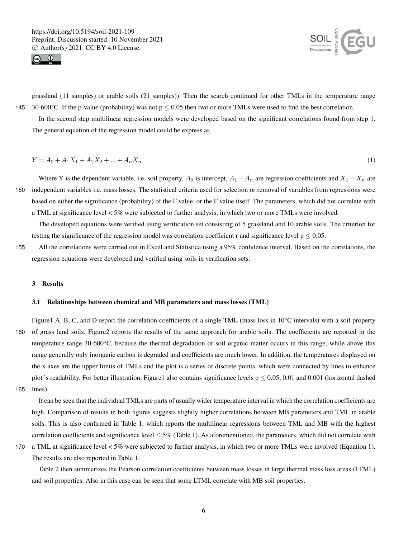



grassland (11 samples) or arable soils (21 samples)). Then the search continued for other TMLs in the temperature range 145 30-600°C. If the p-value (probability) was not  $p \le 0.05$  then two or more TMLs were used to find the best correlation.

In the second step multilinear regression models were developed based on the significant correlations found from step 1. The general equation of the regression model could be express as

$$
Y = A_0 + A_1 X_1 + A_2 X_2 + \dots + A_n X_n \tag{1}
$$

Where Y is the dependent variable, i.e. soil property,  $A_0$  is intercept,  $A_1 - A_n$  are regression coefficients and  $X_1 - X_n$  are 150 independent variables i.e. mass losses. The statistical criteria used for selection or removal of variables from regressions were based on either the significance (probability) of the F value, or the F value itself. The parameters, which did not correlate with a TML at significance level < 5% were subjected to further analysis, in which two or more TMLs were involved.

The developed equations were verified using verification set consisting of 5 grassland and 10 arable soils. The criterion for testing the significance of the regression model was correlation coefficient r and significance level  $p \le 0.05$ .

155 All the correlations were carried out in Excel and Statistica using a 95% confidence interval. Based on the correlations, the regression equations were developed and verified using soils in verification sets.

## 3 Results

## 3.1 Relationships between chemical and MB parameters and mass losses (TML)

Figure1 A, B, C, and D report the correlation coefficients of a single TML (mass loss in 10°C intervals) with a soil property 160 of grass land soils. Figure2 reports the results of the same approach for arable soils. The coefficients are reported in the temperature range 30-600°C, because the thermal degradation of soil organic matter occurs in this range, while above this range generally only inorganic carbon is degraded and coefficients are much lower. In addition, the temperatures displayed on the x axes are the upper limits of TMLs and the plot is a series of discrete points, which were connected by lines to enhance range generally only inorganic carbon is degraded and coefficients are much lower. In addition, the temperatures displayed on<br>the x axes are the upper limits of TMLs and the plot is a series of discrete points, which were

165 lines).

It can be seen that the individual TMLs are parts of usually wider temperature interval in which the correlation coefficients are high. Comparison of results in both figures suggests slightly higher correlations between MB parameters and TML in arable soils. This is also confirmed in Table 1, which reports the multilinear regressions between TML and MB with the highest correlation coefficients and significance level  $\leq$  5% (Table 1). As aforementioned, the parameters, which did not correlate with

170 a TML at significance level < 5% were subjected to further analysis, in which two or more TMLs were involved (Equation 1). The results are also reported in Table 1.

Table 2 then summarizes the Pearson correlation coefficients between mass losses in large thermal mass loss areas (LTML) and soil properties. Also in this case can be seen that some LTML correlate with MB soil properties.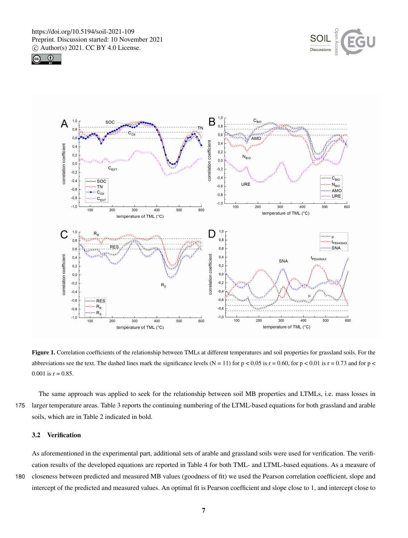





Figure 1. Correlation coefficients of the relationship between TMLs at different temperatures and soil properties for grassland soils. For the abbreviations see the text. The dashed lines mark the significance levels (N = 11) for  $p < 0.05$  is  $r = 0.60$ , for  $p < 0.01$  is  $r = 0.73$  and for  $p <$ 0.001 is  $r = 0.85$ .

The same approach was applied to seek for the relationship between soil MB properties and LTMLs, i.e. mass losses in 175 larger temperature areas. Table 3 reports the continuing numbering of the LTML-based equations for both grassland and arable soils, which are in Table 2 indicated in bold.

## 3.2 Verification

As aforementioned in the experimental part, additional sets of arable and grassland soils were used for verification. The verification results of the developed equations are reported in Table 4 for both TML- and LTML-based equations. As a measure of

180 closeness between predicted and measured MB values (goodness of fit) we used the Pearson correlation coefficient, slope and intercept of the predicted and measured values. An optimal fit is Pearson coefficient and slope close to 1, and intercept close to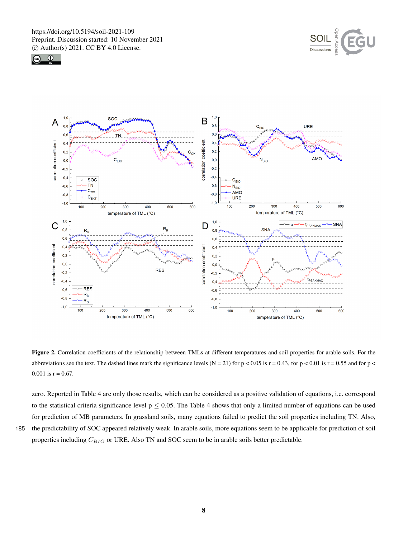





Figure 2. Correlation coefficients of the relationship between TMLs at different temperatures and soil properties for arable soils. For the abbreviations see the text. The dashed lines mark the significance levels (N = 21) for p < 0.05 is  $r = 0.43$ , for p < 0.01 is  $r = 0.55$  and for p < 0.001 is  $r = 0.67$ .

zero. Reported in Table 4 are only those results, which can be considered as a positive validation of equations, i.e. correspond to the statistical criteria significance level  $p \le 0.05$ . The Table 4 shows that only a limited number of equations can be used for prediction of MB parameters. In grassland soils, many equations failed to predict the soil properties including TN. Also, 185 the predictability of SOC appeared relatively weak. In arable soils, more equations seem to be applicable for prediction of soil

properties including  $C_{BIO}$  or URE. Also TN and SOC seem to be in arable soils better predictable.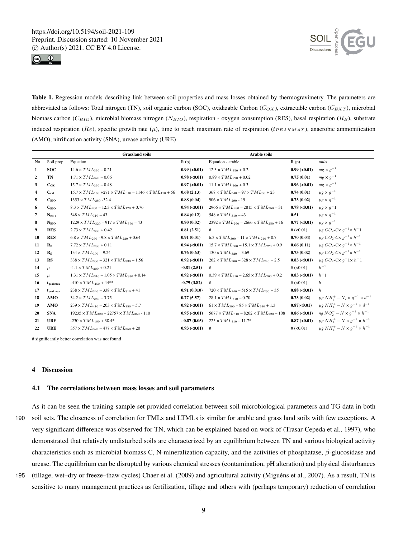



Table 1. Regression models describing link between soil properties and mass losses obtained by thermogravimetry. The parameters are abbreviated as follows: Total nitrogen (TN), soil organic carbon (SOC), oxidizable Carbon ( $C_{OX}$ ), extractable carbon ( $C_{EXT}$ ), microbial biomass carbon (C<sub>BIO</sub>), microbial biomass nitrogen (N<sub>BIO</sub>), respiration - oxygen consumption (RES), basal respiration (R<sub>B</sub>), substrate induced respiration ( $R_S$ ), specific growth rate ( $\mu$ ), time to reach maximum rate of respiration ( $t_{PEAKMAX}$ ), anaerobic ammonification (AMO), nitrification activity (SNA), urease activity (URE)

|                |                      | <b>Grassland soils</b>                                                      |                               | <b>Arable soils</b>                                   |                               |                                                                                |
|----------------|----------------------|-----------------------------------------------------------------------------|-------------------------------|-------------------------------------------------------|-------------------------------|--------------------------------------------------------------------------------|
| No.            | Soil prop.           | Equation                                                                    | R(p)                          | Equation - arable                                     | R(p)                          | units                                                                          |
| 1              | <b>SOC</b>           | $14.6 \times TML_{330} - 0.21$                                              | $0.99$ (< $0.01$ )            | $12.3 \times TML_{350} + 0.2$                         | $0.99$ (< $0.01$ )            | $mg \times g^{-1}$                                                             |
| $\overline{2}$ | TN                   | $1.71 \times TML_{320} - 0.06$                                              | $0.98 \, (< 0.01)$            | $0.89 \times TML_{290} + 0.02$                        | 0.75(0.01)                    | $mg \times g^{-1}$                                                             |
| 3              | $C_{OX}$             | $15.7 \times TML_{330} - 0.48$                                              | 0.97 (< 0.01)                 | $11.1 \times TML_{360} + 0.3$                         | $0.96 \, (\textless}\, 0.01)$ | $mg \times g^{-1}$                                                             |
| 4              | $C_{ext}$            | $15.7 \times TML_{160} + 271 \times TML_{310} - 1146 \times TML_{410} + 56$ | 0.68(2.13)                    | $368 \times TML_{340} - 97 \times TML_{80} + 23$      | 0.74(0.01)                    | $\mu$ g × $g^{-1}$                                                             |
| 5              | $C_{\rm BIO}$        | $1353 \times TML_{260} - 32.4$                                              | 0.88(0.04)                    | $906 \times TML_{290}$ - 19                           | 0.73(0.02)                    | $\mu$ g × $g^{-1}$                                                             |
| 6              | $C_{BIO}$            | $8.3 \times TML_{260} - 12.3 \times TML_{170} + 0.76$                       | $0.94 \, (< 0.01)$            | $2966 \times TML_{280} - 2815 \times TML_{250} - 31$  | 0.78 (< 0.01)                 | $\mu$ g × $g^-1$                                                               |
| $\overline{7}$ | $N_{BIO}$            | $548 \times TML_{310} - 43$                                                 | 0.84(0.12)                    | $548 \times TML_{310} - 43$                           | 0.51                          | $\mu$ g × $g^{-1}$                                                             |
| 8              | $N_{BIO}$            | $1229 \times TML_{320} - 917 \times TML_{370} - 43$                         | 0.90(0.02)                    | $2392 \times TML_{260} - 2666 \times TML_{250} + 16$  | 0.77 (< 0.01)                 | $\mu$ g × $g^{-1}$                                                             |
| 9              | <b>RES</b>           | $2.73 \times TML_{300} + 0.42$                                              | 0.81(2.51)                    | #                                                     | $# (-0.01)$                   | $\mu$ g CO <sub>2</sub> -C $\times$ g <sup>-1</sup> $\times$ h <sup>-</sup> 1  |
| 10             | <b>RES</b>           | $6.8 \times TML_{250}$ - $9.8 \times TML_{220}$ + 0.64                      | 0.91(0.01)                    | $6.3 \times TML_{300} - 11 \times TML_{240} + 0.7$    | 0.70(0.04)                    | $\mu$ g CO <sub>2</sub> -C $\times$ g <sup>-1</sup> $\times$ h <sup>-1</sup>   |
| 11             | $R_{\rm R}$          | $7.72 \times TML_{280} + 0.11$                                              | $0.94 \, (< 0.01)$            | $15.7 \times TML_{300} - 15.1 \times TML_{270} + 0.9$ | 0.66(0.11)                    | $\mu$ g CO <sub>2</sub> -C $\times$ q <sup>-1</sup> $\times$ h <sup>-1</sup>   |
| 12             | $R_{S}$              | $134 \times TML_{300} - 9.24$                                               | 0.76(0.63)                    | $130 \times TML_{320} - 3.69$                         | 0.73(0.02)                    | $\mu$ g CO <sub>2</sub> -C $\times$ g <sup>-1</sup> $\times$ h <sup>-1</sup>   |
| 13             | RS                   | $338 \times TML_{300} - 321 \times TML_{330} - 1.56$                        | $0.92$ (<0.01)                | $262 \times TML_{300} - 328 \times TML_{240} + 2.5$   | $0.83$ (< $0.01$ )            | $\mu$ g CO <sub>2</sub> -C $\times$ q <sup>-</sup> 1 $\times$ h <sup>-</sup> 1 |
| 14             | $\mu$                | $-1.1 \times TML_{200} + 0.21$                                              | $-0.81(2.51)$                 | #                                                     | $# (-0.01)$                   | $h^{-1}$                                                                       |
| 15             | $\mu$                | $1.31 \times TML_{310} - 1.05 \times TML_{330} + 0.14$                      | $0.92 \, (\textless}\, 0.01)$ | $0.39 \times TML_{310} - 2.65 \times TML_{200} + 0.2$ | $0.83$ (< 0.01)               | $h^-1$                                                                         |
| 16             | $t_{\rm{peakmax}}$   | $-410 \times TML_{450} + 44**$                                              | $-0.79(3.82)$                 | #                                                     | # $(<0.01)$                   | h                                                                              |
| 17             | t <sub>peakmax</sub> | $238 \times TML_{340} - 338 \times TML_{310} + 41$                          | 0.91(0.010)                   | $720 \times TML_{240} - 515 \times TML_{260} + 35$    | 0.88 (< 0.01)                 | h                                                                              |
| 18             | AMO                  | $34.2 \times TML_{280} - 3.75$                                              | 0.77(5.57)                    | $28.1 \times TML_{310} - 0.70$                        | 0.73(0.02)                    | $\mu$ g NH <sub>4</sub> <sup>+</sup> – N <sub>2</sub> × $q^{-1}$ × $d^{-1}$    |
| 19             | AMO                  | $239 \times TML_{410} - 203 \times TML_{150} - 5.7$                         | $0.92 \, (\textless}\, 0.01)$ | $61 \times TML_{300} - 85 \times TML_{240} + 1.3$     | 0.87(<0.01)                   | $\mu$ g $NH_4^+ - N \times q^{-1} \times d^{-1}$                               |
| 20             | <b>SNA</b>           | $19235 \times TML_{320} - 22757 \times TML_{350} - 110$                     | $0.95 \, (\textless 0.01)$    | $5677 \times TML_{310} - 8262 \times TML_{220} - 108$ | $0.86 \; (<0.01)$             | ng $NO_2^- - N \times q^{-1} \times h^{-1}$                                    |
| 21             | <b>URE</b>           | $-230 \times TML_{180} + 38.4*$                                             | $-0.87(0.05)$                 | $225 \times TML_{410} - 11.7*$                        | 0.87 (< 0.01)                 | $\mu$ g $NH_4^+ - N \times g^{-1} \times h^{-1}$                               |
| 22             | <b>URE</b>           | $357 \times TML_{320} - 477 \times TML_{350} + 20$                          | $0.93 \, (<0.01)$ #           |                                                       | $# (-0.01)$                   | $\mu$ g $NH_4^+ - N \times q^{-1} \times h^{-1}$                               |

# significantly better correlation was not found

## 4 Discussion

#### 4.1 The correlations between mass losses and soil parameters

As it can be seen the training sample set provided correlation between soil microbiological parameters and TG data in both 190 soil sets. The closeness of correlation for TMLs and LTMLs is similar for arable and grass land soils with few exceptions. A very significant difference was observed for TN, which can be explained based on work of (Trasar-Cepeda et al., 1997), who demonstrated that relatively undisturbed soils are characterized by an equilibrium between TN and various biological activity characteristics such as microbial biomass C, N-mineralization capacity, and the activities of phosphatase, β-glucosidase and urease. The equilibrium can be disrupted by various chemical stresses (contamination, pH alteration) and physical disturbances

195 (tillage, wet–dry or freeze–thaw cycles) Chaer et al. (2009) and agricultural activity (Miguéns et al., 2007). As a result, TN is sensitive to many management practices as fertilization, tillage and others with (perhaps temporary) reduction of correlation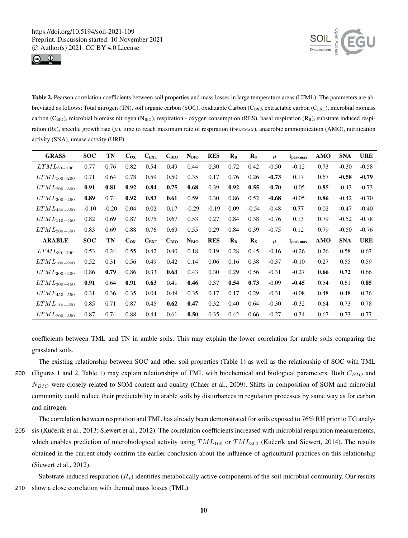



Table 2. Pearson correlation coefficients between soil properties and mass losses in large temperature areas (LTML). The parameters are abbreviated as follows: Total nitrogen (TN), soil organic carbon (SOC), oxidizable Carbon (C<sub>OX</sub>), extractable carbon (C<sub>EXT</sub>), microbial biomass carbon ( $C_{\text{BIO}}$ ), microbial biomass nitrogen (N $_{\text{BIO}}$ ), respiration - oxygen consumption (RES), basal respiration (R<sub>B</sub>), substrate induced respiration (R<sub>S</sub>), specific growth rate ( $\mu$ ), time to reach maximum rate of respiration (t<sub>PEAKMAX</sub>), anaerobic ammonification (AMO), nitrification activity (SNA), urease activity (URE)

| <b>GRASS</b>     | <b>SOC</b> | TN      | $C_{OX}$ | $C_{EXT}$     | $C_{\rm BIO}$ | $N_{\rm BIO}$ | <b>RES</b> | $R_{B}$ | $\mathbf{R}_{\mathrm{S}}$ | $\mu$   | t <sub>peakmax</sub> | AMO  | <b>SNA</b> | <b>URE</b> |
|------------------|------------|---------|----------|---------------|---------------|---------------|------------|---------|---------------------------|---------|----------------------|------|------------|------------|
| $LTML_{30-100}$  | 0.77       | 0.76    | 0.82     | 0.54          | 0.49          | 0.44          | 0.30       | 0.72    | 0.42                      | $-0.50$ | $-0.12$              | 0.73 | $-0.30$    | $-0.58$    |
| $LTML_{100-200}$ | 0.71       | 0.64    | 0.78     | 0.59          | 0.50          | 0.35          | 0.17       | 0.76    | 0.26                      | $-0.73$ | 0.17                 | 0.67 | $-0.58$    | $-0.79$    |
| $LTML_{200-300}$ | 0.91       | 0.81    | 0.92     | 0.84          | 0.75          | 0.68          | 0.39       | 0.92    | 0.55                      | $-0.70$ | $-0.05$              | 0.85 | $-0.43$    | $-0.73$    |
| $LTML_{300-450}$ | 0.89       | 0.74    | 0.92     | 0.83          | 0.61          | 0.59          | 0.30       | 0.86    | 0.52                      | $-0.68$ | $-0.05$              | 0.86 | $-0.42$    | $-0.70$    |
| $LTML_{450-550}$ | $-0.10$    | $-0.20$ | 0.04     | 0.02          | 0.17          | $-0.29$       | $-0.19$    | 0.09    | $-0.54$                   | $-0.48$ | 0.77                 | 0.02 | $-0.47$    | $-0.40$    |
| $LTML_{110-550}$ | 0.82       | 0.69    | 0.87     | 0.75          | 0.67          | 0.53          | 0.27       | 0.84    | 0.38                      | $-0.76$ | 0.13                 | 0.79 | $-0.52$    | $-0.78$    |
| $LTML_{200-550}$ | 0.83       | 0.69    | 0.88     | 0.76          | 0.69          | 0.55          | 0.29       | 0.84    | 0.39                      | $-0.75$ | 0.12                 | 0.79 | $-0.50$    | $-0.76$    |
| <b>ARABLE</b>    | <b>SOC</b> | TN      | $C_{OX}$ | $C_{\rm EXT}$ | $C_{\rm BIO}$ | $N_{\rm BIO}$ | <b>RES</b> | $R_{B}$ | $R_{S}$                   | $\mu$   | t <sub>peakmax</sub> | AMO  | <b>SNA</b> | <b>URE</b> |
| $LTML_{30-100}$  | 0.53       | 0.24    | 0.55     | 0.42          | 0.40          | 0.18          | 0.19       | 0.28    | 0.45                      | $-0.16$ | $-0.26$              | 0.26 | 0.58       | 0.67       |
| $LTML_{100-200}$ | 0.52       | 0.31    | 0.56     | 0.49          | 0.42          | 0.14          | 0.06       | 0.16    | 0.38                      | $-0.37$ | $-0.10$              | 0.27 | 0.55       | 0.59       |
| $LTML_{200-300}$ | 0.86       | 0.79    | 0.86     | 0.33          | 0.63          | 0.43          | 0.30       | 0.29    | 0.56                      | $-0.31$ | $-0.27$              | 0.66 | 0.72       | 0.66       |
| $LTML_{300-450}$ | 0.91       | 0.64    | 0.91     | 0.63          | 0.41          | 0.46          | 0.37       | 0.54    | 0.73                      | $-0.09$ | $-0.45$              | 0.54 | 0.61       | 0.85       |
| $LTML_{450-550}$ | 0.31       | 0.36    | 0.35     | 0.04          | 0.49          | 0.35          | 0.17       | 0.17    | 0.29                      | $-0.31$ | $-0.08$              | 0.48 | 0.48       | 0.36       |
| $LTML_{110-550}$ | 0.85       | 0.71    | 0.87     | 0.45          | 0.62          | 0.47          | 0.32       | 0.40    | 0.64                      | $-0.30$ | $-0.32$              | 0.64 | 0.73       | 0.78       |
| $LTML_{200-550}$ | 0.87       | 0.74    | 0.88     | 0.44          | 0.61          | 0.50          | 0.35       | 0.42    | 0.66                      | $-0.27$ | $-0.34$              | 0.67 | 0.73       | 0.77       |

coefficients between TML and TN in arable soils. This may explain the lower correlation for arable soils comparing the grassland soils.

The existing relationship between SOC and other soil properties (Table 1) as well as the relationship of SOC with TML 200 (Figures 1 and 2, Table 1) may explain relationships of TML with biochemical and biological parameters. Both  $C_{BIO}$  and  $N_{BIO}$  were closely related to SOM content and quality (Chaer et al., 2009). Shifts in composition of SOM and microbial community could reduce their predictability in arable soils by disturbances in regulation processes by same way as for carbon and nitrogen.

The correlation between respiration and TML has already been demonstrated for soils exposed to 76% RH prior to TG analy-205 sis (Kučerík et al., 2013; Siewert et al., 2012). The correlation coefficients increased with microbial respiration measurements, which enables prediction of microbiological activity using  $TML_{100}$  or  $TML_{300}$  (Kučerík and Siewert, 2014). The results obtained in the current study confirm the earlier conclusion about the influence of agricultural practices on this relationship (Siewert et al., 2012).

Substrate-induced respiration  $(R_s)$  identifies metabolically active components of the soil microbial community. Our results 210 show a close correlation with thermal mass losses (TML).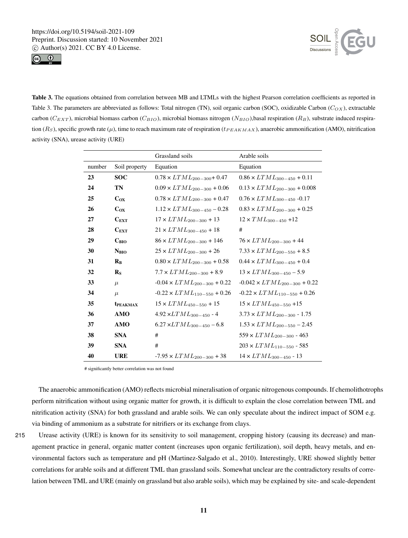



Table 3. The equations obtained from correlation between MB and LTMLs with the highest Pearson correlation coefficients as reported in Table 3. The parameters are abbreviated as follows: Total nitrogen (TN), soil organic carbon (SOC), oxidizable Carbon ( $C_{OX}$ ), extractable carbon ( $C_{EXT}$ ), microbial biomass carbon ( $C_{BIO}$ ), microbial biomass nitrogen ( $N_{BIO}$ ),basal respiration ( $R_B$ ), substrate induced respiration  $(R_S)$ , specific growth rate  $(\mu)$ , time to reach maximum rate of respiration ( $t_{PEAKMAX}$ ), anaerobic ammonification (AMO), nitrification activity (SNA), urease activity (URE)

|        |                           | Grassland soils                      | Arable soils                          |
|--------|---------------------------|--------------------------------------|---------------------------------------|
| number | Soil property             | Equation                             | Equation                              |
| 23     | <b>SOC</b>                | $0.78 \times LTML_{200-300} + 0.47$  | $0.86 \times LTML_{300-450} + 0.11$   |
| 24     | TN                        | $0.09 \times LTML_{200-300} + 0.06$  | $0.13 \times LTML_{200-300} + 0.008$  |
| 25     | $C_{OX}$                  | $0.78 \times LTML_{200-300} + 0.47$  | $0.76 \times LTML_{300-450}$ -0.17    |
| 26     | $C_{OX}$                  | $1.12 \times LTML_{300-450} - 0.28$  | $0.83 \times LTML_{200-300} + 0.25$   |
| 27     | $C_{\text{EXT}}$          | $17 \times LTML_{200-300} + 13$      | $12 \times TML_{300-450}$ +12         |
| 28     | $C_{\text{EXT}}$          | $21 \times LTML_{300-450} + 18$      | #                                     |
| 29     | $C_{\rm BIO}$             | $86 \times LTML_{200-300} + 146$     | $76 \times LTML_{200-300} + 44$       |
| 30     | N <sub>BIO</sub>          | $25 \times LTML_{200-300} + 26$      | $7.33 \times LTML_{200-550} + 8.5$    |
| 31     | $R_{R}$                   | $0.80 \times LTML_{200-300} + 0.58$  | $0.44 \times LTML_{300-450} + 0.4$    |
| 32     | $\mathbf{R}_{\mathbf{S}}$ | $7.7 \times LTML_{200-300}$ + 8.9    | $13 \times LTML_{300-450} - 5.9$      |
| 33     | $\mu$                     | $-0.04 \times LTML_{200-300} + 0.22$ | $-0.042 \times LTML_{200-300} + 0.22$ |
| 34     | $\mu$                     | $-0.22 \times LTML_{110-550} + 0.26$ | $-0.22 \times LTML_{110-550} + 0.26$  |
| 35     | <b>t</b> PEAKMAX          | $15 \times LTML_{450-550} + 15$      | $15 \times LTML_{450-550} + 15$       |
| 36     | <b>AMO</b>                | $4.92 \times LTML_{300-450}$ - 4     | $3.73 \times LTML_{200-300}$ - 1.75   |
| 37     | <b>AMO</b>                | $6.27 \times LTML_{300-450} - 6.8$   | $1.53 \times LTML_{200-550} - 2.45$   |
| 38     | <b>SNA</b>                | #                                    | $559 \times LTML_{200-300}$ - 463     |
| 39     | <b>SNA</b>                | #                                    | $203 \times LTML_{110-550}$ - 585     |
| 40     | <b>URE</b>                | $-7.95 \times LTML_{200-300} + 38$   | $14 \times LTML_{300-450}$ - $13$     |

# significantly better correlation was not found

The anaerobic ammonification (AMO) reflects microbial mineralisation of organic nitrogenous compounds. If chemolithotrophs perform nitrification without using organic matter for growth, it is difficult to explain the close correlation between TML and nitrification activity (SNA) for both grassland and arable soils. We can only speculate about the indirect impact of SOM e.g. via binding of ammonium as a substrate for nitrifiers or its exchange from clays.

215 Urease activity (URE) is known for its sensitivity to soil management, cropping history (causing its decrease) and management practice in general, organic matter content (increases upon organic fertilization), soil depth, heavy metals, and environmental factors such as temperature and pH (Martinez-Salgado et al., 2010). Interestingly, URE showed slightly better correlations for arable soils and at different TML than grassland soils. Somewhat unclear are the contradictory results of correlation between TML and URE (mainly on grassland but also arable soils), which may be explained by site- and scale-dependent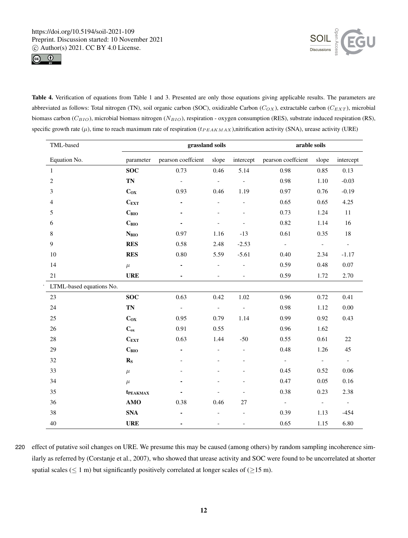

.



Table 4. Verification of equations from Table 1 and 3. Presented are only those equations giving applicable results. The parameters are abbreviated as follows: Total nitrogen (TN), soil organic carbon (SOC), oxidizable Carbon ( $C_{OX}$ ), extractable carbon ( $C_{EXT}$ ), microbial biomass carbon ( $C_{BIO}$ ), microbial biomass nitrogen ( $N_{BIO}$ ), respiration - oxygen consumption (RES), substrate induced respiration (RS), specific growth rate  $(\mu)$ , time to reach maximum rate of respiration ( $t_{PEAKMAX}$ ),nitrification activity (SNA), urease activity (URE)

| TML-based                |                  | grassland soils    | arable soils                 |                          |                    |                          |                          |
|--------------------------|------------------|--------------------|------------------------------|--------------------------|--------------------|--------------------------|--------------------------|
| Equation No.             | parameter        | pearson coeffcient | slope                        | intercept                | pearson coeffcient | slope                    | intercept                |
| $\mathbf{1}$             | <b>SOC</b>       | 0.73               | 0.46                         | 5.14                     | 0.98               | 0.85                     | 0.13                     |
| $\mathbf{2}$             | TN               | $\overline{a}$     | $\frac{1}{2}$                | $\overline{\phantom{0}}$ | 0.98               | 1.10                     | $-0.03$                  |
| 3                        | $C_{OX}$         | 0.93               | 0.46                         | 1.19                     | 0.97               | 0.76                     | $-0.19$                  |
| $\overline{4}$           | $C_{EXT}$        | $\blacksquare$     | $\qquad \qquad \blacksquare$ | $\overline{\phantom{0}}$ | 0.65               | 0.65                     | 4.25                     |
| 5                        | $C_{BIO}$        |                    |                              |                          | 0.73               | 1.24                     | $11\,$                   |
| 6                        | $C_{BIO}$        |                    |                              |                          | 0.82               | 1.14                     | 16                       |
| $8\,$                    | $N_{BIO}$        | 0.97               | 1.16                         | $-13$                    | 0.61               | 0.35                     | 18                       |
| 9                        | <b>RES</b>       | 0.58               | 2.48                         | $-2.53$                  | $\blacksquare$     | $\Box$                   | $\Box$                   |
| 10                       | <b>RES</b>       | $0.80\,$           | 5.59                         | $-5.61$                  | 0.40               | 2.34                     | $-1.17$                  |
| 14                       | $\mu$            |                    | $\qquad \qquad -$            | $\overline{\phantom{0}}$ | 0.59               | 0.48                     | $0.07\,$                 |
| 21                       | <b>URE</b>       |                    | $\frac{1}{2}$                | $\overline{\phantom{a}}$ | 0.59               | 1.72                     | 2.70                     |
| LTML-based equations No. |                  |                    |                              |                          |                    |                          |                          |
| 23                       | <b>SOC</b>       | 0.63               | 0.42                         | 1.02                     | 0.96               | 0.72                     | 0.41                     |
| 24                       | <b>TN</b>        | $\Box$             | $\blacksquare$               | $\overline{\phantom{a}}$ | 0.98               | 1.12                     | $0.00\,$                 |
| 25                       | $C_{OX}$         | 0.95               | 0.79                         | 1.14                     | 0.99               | 0.92                     | 0.43                     |
| 26                       | $C_{ox}$         | 0.91               | 0.55                         |                          | 0.96               | 1.62                     |                          |
| 28                       | $C_{EXT}$        | 0.63               | 1.44                         | $-50$                    | 0.55               | 0.61                     | $22\,$                   |
| 29                       | $C_{BIO}$        |                    | $\qquad \qquad \blacksquare$ | $\overline{\phantom{0}}$ | 0.48               | 1.26                     | 45                       |
| 32                       | $R_{S}$          |                    |                              |                          | $\mathbb{L}$       | $\overline{\phantom{a}}$ | $\overline{\phantom{a}}$ |
| 33                       | $\mu$            |                    |                              |                          | 0.45               | 0.52                     | 0.06                     |
| 34                       | $\mu$            |                    |                              |                          | 0.47               | 0.05                     | 0.16                     |
| 35                       | <b>t</b> PEAKMAX |                    |                              |                          | 0.38               | 0.23                     | 2.38                     |
| 36                       | <b>AMO</b>       | 0.38               | 0.46                         | 27                       | $\mathbb{L}$       | $\Box$                   | $\blacksquare$           |
| 38                       | <b>SNA</b>       |                    |                              |                          | 0.39               | 1.13                     | $-454$                   |
| 40                       | <b>URE</b>       |                    | $\frac{1}{2}$                | $\overline{a}$           | 0.65               | 1.15                     | 6.80                     |

 effect of putative soil changes on URE. We presume this may be caused (among others) by random sampling incoherence similarly as referred by (Corstanje et al., 2007), who showed that urease activity and SOC were found to be uncorrelated at shorter spatial scales ( $\leq 1$  m) but significantly positively correlated at longer scales of ( $\geq$ 15 m).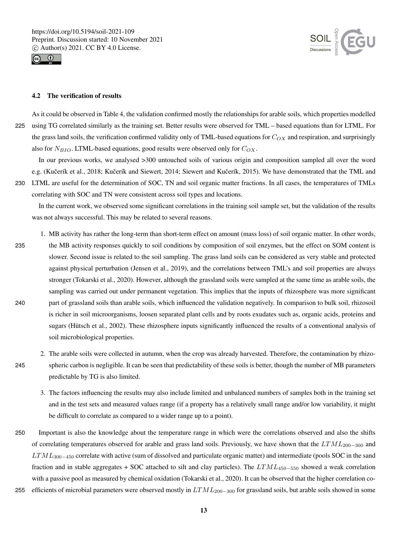



## 4.2 The verification of results

As it could be observed in Table 4, the validation confirmed mostly the relationships for arable soils, which properties modelled 225 using TG correlated similarly as the training set. Better results were observed for TML – based equations than for LTML. For the grass land soils, the verification confirmed validity only of TML-based equations for  $C_{OX}$  and respiration, and surprisingly also for  $N_{BIO}$ . LTML-based equations, good results were observed only for  $C_{OX}$ .

In our previous works, we analysed >300 untouched soils of various origin and composition sampled all over the word e.g. (Kučerík et al., 2018; Kučerík and Siewert, 2014; Siewert and Kučerík, 2015). We have demonstrated that the TML and

230 LTML are useful for the determination of SOC, TN and soil organic matter fractions. In all cases, the temperatures of TMLs correlating with SOC and TN were consistent across soil types and locations.

In the current work, we observed some significant correlations in the training soil sample set, but the validation of the results was not always successful. This may be related to several reasons.

- 1. MB activity has rather the long-term than short-term effect on amount (mass loss) of soil organic matter. In other words, 235 the MB activity responses quickly to soil conditions by composition of soil enzymes, but the effect on SOM content is slower. Second issue is related to the soil sampling. The grass land soils can be considered as very stable and protected against physical perturbation (Jensen et al., 2019), and the correlations between TML's and soil properties are always stronger (Tokarski et al., 2020). However, although the grassland soils were sampled at the same time as arable soils, the sampling was carried out under permanent vegetation. This implies that the inputs of rhizosphere was more significant 240 part of grassland soils than arable soils, which influenced the validation negatively. In comparison to bulk soil, rhizosoil is richer in soil microorganisms, loosen separated plant cells and by roots exudates such as, organic acids, proteins and sugars (Hütsch et al., 2002). These rhizosphere inputs significantly influenced the results of a conventional analysis of soil microbiological properties.
- 2. The arable soils were collected in autumn, when the crop was already harvested. Therefore, the contamination by rhizo-245 spheric carbon is negligible. It can be seen that predictability of these soils is better, though the number of MB parameters predictable by TG is also limited.
	- 3. The factors influencing the results may also include limited and unbalanced numbers of samples both in the training set and in the test sets and measured values range (if a property has a relatively small range and/or low variability, it might be difficult to correlate as compared to a wider range up to a point).
- 250 Important is also the knowledge about the temperature range in which were the correlations observed and also the shifts of correlating temperatures observed for arable and grass land soils. Previously, we have shown that the  $LTML_{200-300}$  and  $LTML_{300-450}$  correlate with active (sum of dissolved and particulate organic matter) and intermediate (pools SOC in the sand fraction and in stable aggregates + SOC attached to silt and clay particles). The  $LTML_{450-550}$  showed a weak correlation with a passive pool as measured by chemical oxidation (Tokarski et al., 2020). It can be observed that the higher correlation co-255 efficients of microbial parameters were observed mostly in  $LTML_{200-300}$  for grassland soils, but arable soils showed in some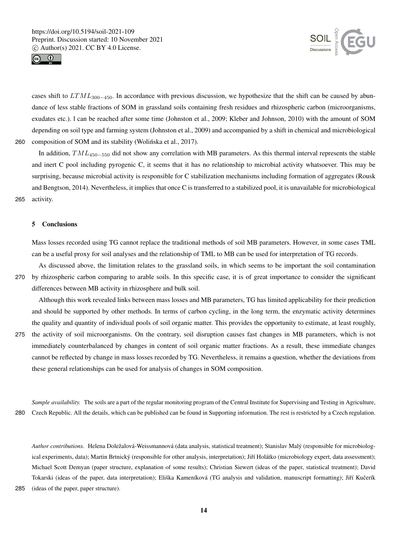



cases shift to  $LTML_{300-450}$ . In accordance with previous discussion, we hypothesize that the shift can be caused by abundance of less stable fractions of SOM in grassland soils containing fresh residues and rhizospheric carbon (microorganisms, exudates etc.). l can be reached after some time (Johnston et al., 2009; Kleber and Johnson, 2010) with the amount of SOM depending on soil type and farming system (Johnston et al., 2009) and accompanied by a shift in chemical and microbiological 260 composition of SOM and its stability (Wolinska et al., 2017).

In addition,  $TML_{450-550}$  did not show any correlation with MB parameters. As this thermal interval represents the stable and inert C pool including pyrogenic C, it seems that it has no relationship to microbial activity whatsoever. This may be surprising, because microbial activity is responsible for C stabilization mechanisms including formation of aggregates (Rousk and Bengtson, 2014). Nevertheless, it implies that once C is transferred to a stabilized pool, it is unavailable for microbiological 265 activity.

### 5 Conclusions

Mass losses recorded using TG cannot replace the traditional methods of soil MB parameters. However, in some cases TML can be a useful proxy for soil analyses and the relationship of TML to MB can be used for interpretation of TG records.

As discussed above, the limitation relates to the grassland soils, in which seems to be important the soil contamination 270 by rhizospheric carbon comparing to arable soils. In this specific case, it is of great importance to consider the significant differences between MB activity in rhizosphere and bulk soil.

Although this work revealed links between mass losses and MB parameters, TG has limited applicability for their prediction and should be supported by other methods. In terms of carbon cycling, in the long term, the enzymatic activity determines the quality and quantity of individual pools of soil organic matter. This provides the opportunity to estimate, at least roughly,

275 the activity of soil microorganisms. On the contrary, soil disruption causes fast changes in MB parameters, which is not immediately counterbalanced by changes in content of soil organic matter fractions. As a result, these immediate changes cannot be reflected by change in mass losses recorded by TG. Nevertheless, it remains a question, whether the deviations from these general relationships can be used for analysis of changes in SOM composition.

*Sample availability.* The soils are a part of the regular monitoring program of the Central Institute for Supervising and Testing in Agriculture, 280 Czech Republic. All the details, which can be published can be found in Supporting information. The rest is restricted by a Czech regulation.

*Author contributions.* Helena Doležalová-Weissmannová (data analysis, statistical treatment); Stanislav Malý (responsible for microbiological experiments, data); Martin Brtnický (responsible for other analysis, interpretation); Jiří Holátko (microbiology expert, data assessment); Michael Scott Demyan (paper structure, explanation of some results); Christian Siewert (ideas of the paper, statistical treatment); David Tokarski (ideas of the paper, data interpretation); Eliška Kameníková (TG analysis and validation, manuscript formatting); Jiří Kučerík

285 (ideas of the paper, paper structure).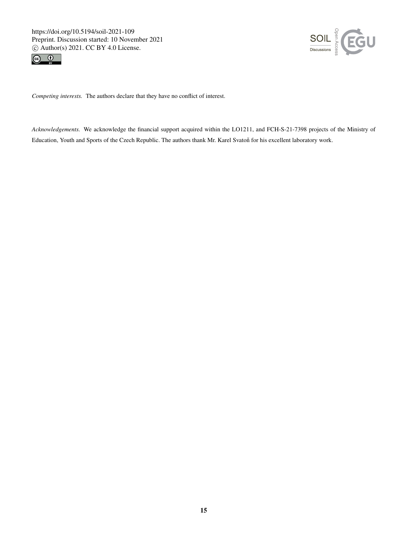https://doi.org/10.5194/soil-2021-109 Preprint. Discussion started: 10 November 2021  $\overline{c}$  Author(s) 2021. CC BY 4.0 License.<br> $\overline{c}$ 





*Competing interests.* The authors declare that they have no conflict of interest.

*Acknowledgements.* We acknowledge the financial support acquired within the LO1211, and FCH-S-21-7398 projects of the Ministry of Education, Youth and Sports of the Czech Republic. The authors thank Mr. Karel Svatoň for his excellent laboratory work.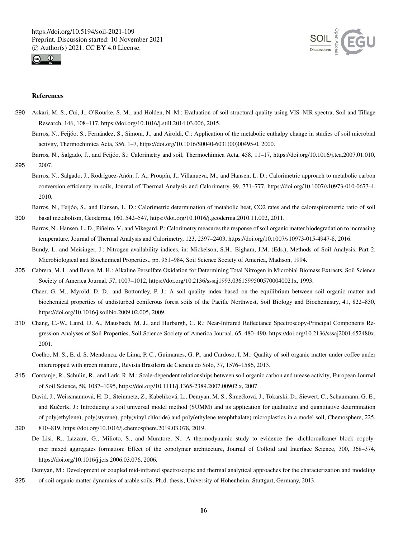



## References

- 290 Askari, M. S., Cui, J., O'Rourke, S. M., and Holden, N. M.: Evaluation of soil structural quality using VIS–NIR spectra, Soil and Tillage Research, 146, 108–117, https://doi.org/10.1016/j.still.2014.03.006, 2015.
	- Barros, N., Feijóo, S., Fernández, S., Simoni, J., and Airoldi, C.: Application of the metabolic enthalpy change in studies of soil microbial activity, Thermochimica Acta, 356, 1–7, https://doi.org/10.1016/S0040-6031(00)00495-0, 2000.
- Barros, N., Salgado, J., and Feijóo, S.: Calorimetry and soil, Thermochimica Acta, 458, 11–17, https://doi.org/10.1016/j.tca.2007.01.010, 295 2007.
	- Barros, N., Salgado, J., Rodríguez-Añón, J. A., Proupín, J., Villanueva, M., and Hansen, L. D.: Calorimetric approach to metabolic carbon conversion efficiency in soils, Journal of Thermal Analysis and Calorimetry, 99, 771–777, https://doi.org/10.1007/s10973-010-0673-4, 2010.

Barros, N., Feijóo, S., and Hansen, L. D.: Calorimetric determination of metabolic heat, CO2 rates and the calorespirometric ratio of soil

- 300 basal metabolism, Geoderma, 160, 542–547, https://doi.org/10.1016/j.geoderma.2010.11.002, 2011.
	- Barros, N., Hansen, L. D., Piñeiro, V., and Vikegard, P.: Calorimetry measures the response of soil organic matter biodegradation to increasing temperature, Journal of Thermal Analysis and Calorimetry, 123, 2397–2403, https://doi.org/10.1007/s10973-015-4947-8, 2016.
		- Bundy, L. and Meisinger, J.: Nitrogen availability indices, in: Mickelson, S.H., Bigham, J.M. (Eds.), Methods of Soil Analysis. Part 2. Microbiological and Biochemical Properties., pp. 951–984, Soil Science Society of America, Madison, 1994.
- 305 Cabrera, M. L. and Beare, M. H.: Alkaline Persulfate Oxidation for Determining Total Nitrogen in Microbial Biomass Extracts, Soil Science Society of America Journal, 57, 1007–1012, https://doi.org/10.2136/sssaj1993.03615995005700040021x, 1993.
	- Chaer, G. M., Myrold, D. D., and Bottomley, P. J.: A soil quality index based on the equilibrium between soil organic matter and biochemical properties of undisturbed coniferous forest soils of the Pacific Northwest, Soil Biology and Biochemistry, 41, 822–830, https://doi.org/10.1016/j.soilbio.2009.02.005, 2009.
- 310 Chang, C.-W., Laird, D. A., Mausbach, M. J., and Hurburgh, C. R.: Near-Infrared Reflectance Spectroscopy-Principal Components Regression Analyses of Soil Properties, Soil Science Society of America Journal, 65, 480–490, https://doi.org/10.2136/sssaj2001.652480x, 2001.
	- Coelho, M. S., E. d. S. Mendonca, de Lima, P. C., Guimaraes, G. P., and Cardoso, I. M.: Quality of soil organic matter under coffee under intercropped with green manure., Revista Brasileira de Ciencia do Solo, 37, 1576–1586, 2013.
- 315 Corstanje, R., Schulin, R., and Lark, R. M.: Scale-dependent relationships between soil organic carbon and urease activity, European Journal of Soil Science, 58, 1087–1095, https://doi.org/10.1111/j.1365-2389.2007.00902.x, 2007.

David, J., Weissmannová, H. D., Steinmetz, Z., Kabelíková, L., Demyan, M. S., Šimečková, J., Tokarski, D., Siewert, C., Schaumann, G. E., and Kučerík, J.: Introducing a soil universal model method (SUMM) and its application for qualitative and quantitative determination of poly(ethylene), poly(styrene), poly(vinyl chloride) and poly(ethylene terephthalate) microplastics in a model soil, Chemosphere, 225,

- 320 810–819, https://doi.org/10.1016/j.chemosphere.2019.03.078, 2019.
	- De Lisi, R., Lazzara, G., Milioto, S., and Muratore, N.: A thermodynamic study to evidence the -dichloroalkane/ block copolymer mixed aggregates formation: Effect of the copolymer architecture, Journal of Colloid and Interface Science, 300, 368–374, https://doi.org/10.1016/j.jcis.2006.03.076, 2006.
- Demyan, M.: Development of coupled mid-infrared spectroscopic and thermal analytical approaches for the characterization and modeling 325 of soil organic matter dynamics of arable soils, Ph.d. thesis, University of Hohenheim, Stuttgart, Germany, 2013.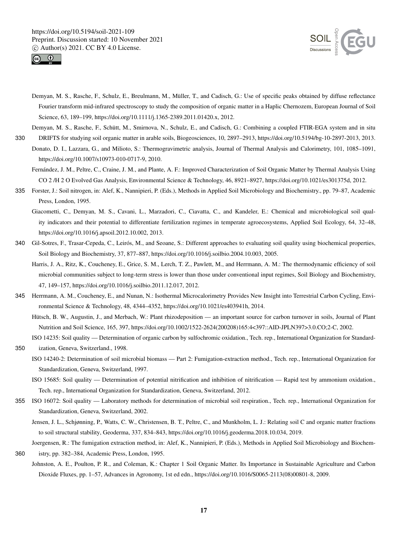



- Demyan, M. S., Rasche, F., Schulz, E., Breulmann, M., Müller, T., and Cadisch, G.: Use of specific peaks obtained by diffuse reflectance Fourier transform mid-infrared spectroscopy to study the composition of organic matter in a Haplic Chernozem, European Journal of Soil Science, 63, 189–199, https://doi.org/10.1111/j.1365-2389.2011.01420.x, 2012.
- Demyan, M. S., Rasche, F., Schütt, M., Smirnova, N., Schulz, E., and Cadisch, G.: Combining a coupled FTIR-EGA system and in situ
- 330 DRIFTS for studying soil organic matter in arable soils, Biogeosciences, 10, 2897–2913, https://doi.org/10.5194/bg-10-2897-2013, 2013. Donato, D. I., Lazzara, G., and Milioto, S.: Thermogravimetric analysis, Journal of Thermal Analysis and Calorimetry, 101, 1085–1091, https://doi.org/10.1007/s10973-010-0717-9, 2010.
	- Fernández, J. M., Peltre, C., Craine, J. M., and Plante, A. F.: Improved Characterization of Soil Organic Matter by Thermal Analysis Using CO 2 /H 2 O Evolved Gas Analysis, Environmental Science & Technology, 46, 8921–8927, https://doi.org/10.1021/es301375d, 2012.
- 335 Forster, J.: Soil nitrogen, in: Alef, K., Nannipieri, P. (Eds.), Methods in Applied Soil Microbiology and Biochemistry., pp. 79–87, Academic Press, London, 1995.
	- Giacometti, C., Demyan, M. S., Cavani, L., Marzadori, C., Ciavatta, C., and Kandeler, E.: Chemical and microbiological soil quality indicators and their potential to differentiate fertilization regimes in temperate agroecosystems, Applied Soil Ecology, 64, 32–48, https://doi.org/10.1016/j.apsoil.2012.10.002, 2013.
- 340 Gil-Sotres, F., Trasar-Cepeda, C., Leirós, M., and Seoane, S.: Different approaches to evaluating soil quality using biochemical properties, Soil Biology and Biochemistry, 37, 877–887, https://doi.org/10.1016/j.soilbio.2004.10.003, 2005.
	- Harris, J. A., Ritz, K., Coucheney, E., Grice, S. M., Lerch, T. Z., Pawlett, M., and Herrmann, A. M.: The thermodynamic efficiency of soil microbial communities subject to long-term stress is lower than those under conventional input regimes, Soil Biology and Biochemistry, 47, 149–157, https://doi.org/10.1016/j.soilbio.2011.12.017, 2012.
- 345 Herrmann, A. M., Coucheney, E., and Nunan, N.: Isothermal Microcalorimetry Provides New Insight into Terrestrial Carbon Cycling, Environmental Science & Technology, 48, 4344–4352, https://doi.org/10.1021/es403941h, 2014.
	- Hütsch, B. W., Augustin, J., and Merbach, W.: Plant rhizodeposition an important source for carbon turnover in soils, Journal of Plant Nutrition and Soil Science, 165, 397, https://doi.org/10.1002/1522-2624(200208)165:4<397::AID-JPLN397>3.0.CO;2-C, 2002.
	- ISO 14235: Soil quality Determination of organic carbon by sulfochromic oxidation., Tech. rep., International Organization for Standard-
- 350 ization, Geneva, Switzerland., 1998.
	- ISO 14240-2: Determination of soil microbial biomass Part 2: Fumigation-extraction method., Tech. rep., International Organization for Standardization, Geneva, Switzerland, 1997.
	- ISO 15685: Soil quality Determination of potential nitrification and inhibition of nitrification Rapid test by ammonium oxidation., Tech. rep., International Organization for Standardization, Geneva, Switzerland, 2012.
- 355 ISO 16072: Soil quality Laboratory methods for determination of microbial soil respiration., Tech. rep., International Organization for Standardization, Geneva, Switzerland, 2002.
	- Jensen, J. L., Schjønning, P., Watts, C. W., Christensen, B. T., Peltre, C., and Munkholm, L. J.: Relating soil C and organic matter fractions to soil structural stability, Geoderma, 337, 834–843, https://doi.org/10.1016/j.geoderma.2018.10.034, 2019.
	- Joergensen, R.: The fumigation extraction method, in: Alef, K., Nannipieri, P. (Eds.), Methods in Applied Soil Microbiology and Biochem-
- 360 istry, pp. 382–384, Academic Press, London, 1995.
	- Johnston, A. E., Poulton, P. R., and Coleman, K.: Chapter 1 Soil Organic Matter. Its Importance in Sustainable Agriculture and Carbon Dioxide Fluxes, pp. 1–57, Advances in Agronomy, 1st ed edn., https://doi.org/10.1016/S0065-2113(08)00801-8, 2009.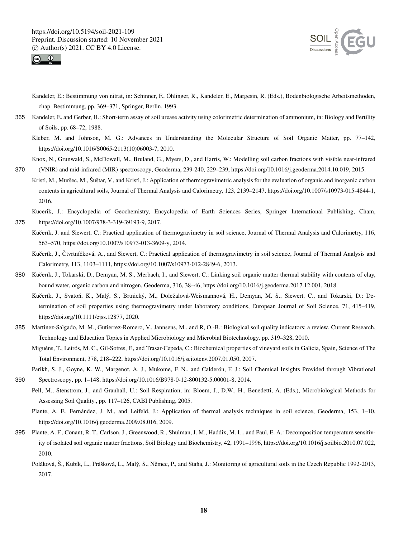



- Kandeler, E.: Bestimmung von nitrat, in: Schinner, F., Öhlinger, R., Kandeler, E., Margesin, R. (Eds.), Bodenbiologische Arbeitsmethoden, chap. Bestimmung, pp. 369–371, Springer, Berlin, 1993.
- 365 Kandeler, E. and Gerber, H.: Short-term assay of soil urease activity using colorimetric determination of ammonium, in: Biology and Fertility of Soils, pp. 68–72, 1988.
	- Kleber, M. and Johnson, M. G.: Advances in Understanding the Molecular Structure of Soil Organic Matter, pp. 77–142, https://doi.org/10.1016/S0065-2113(10)06003-7, 2010.
- Knox, N., Grunwald, S., McDowell, M., Bruland, G., Myers, D., and Harris, W.: Modelling soil carbon fractions with visible near-infrared 370 (VNIR) and mid-infrared (MIR) spectroscopy, Geoderma, 239-240, 229–239, https://doi.org/10.1016/j.geoderma.2014.10.019, 2015.
- Kristl, M., Muršec, M., Šuštar, V., and Kristl, J.: Application of thermogravimetric analysis for the evaluation of organic and inorganic carbon contents in agricultural soils, Journal of Thermal Analysis and Calorimetry, 123, 2139–2147, https://doi.org/10.1007/s10973-015-4844-1, 2016.
- Kucerik, J.: Encyclopedia of Geochemistry, Encyclopedia of Earth Sciences Series, Springer International Publishing, Cham, 375 https://doi.org/10.1007/978-3-319-39193-9, 2017.
	- Kučerík, J. and Siewert, C.: Practical application of thermogravimetry in soil science, Journal of Thermal Analysis and Calorimetry, 116, 563–570, https://doi.org/10.1007/s10973-013-3609-y, 2014.
		- Kučerík, J., Čtvrtníčková, A., and Siewert, C.: Practical application of thermogravimetry in soil science, Journal of Thermal Analysis and Calorimetry, 113, 1103–1111, https://doi.org/10.1007/s10973-012-2849-6, 2013.
- 380 Kučerík, J., Tokarski, D., Demyan, M. S., Merbach, I., and Siewert, C.: Linking soil organic matter thermal stability with contents of clay, bound water, organic carbon and nitrogen, Geoderma, 316, 38–46, https://doi.org/10.1016/j.geoderma.2017.12.001, 2018.
	- Kučerík, J., Svatoň, K., Malý, S., Brtnický, M., Doležalová-Weismannová, H., Demyan, M. S., Siewert, C., and Tokarski, D.: Determination of soil properties using thermogravimetry under laboratory conditions, European Journal of Soil Science, 71, 415–419, https://doi.org/10.1111/ejss.12877, 2020.
- 385 Martinez-Salgado, M. M., Gutierrez-Romero, V., Jannsens, M., and R, O.-B.: Biological soil quality indicators: a review, Current Research, Technology and Education Topics in Applied Microbiology and Microbial Biotechnology, pp. 319–328, 2010.
	- Miguéns, T., Leirós, M. C., Gil-Sotres, F., and Trasar-Cepeda, C.: Biochemical properties of vineyard soils in Galicia, Spain, Science of The Total Environment, 378, 218–222, https://doi.org/10.1016/j.scitotenv.2007.01.050, 2007.
- Parikh, S. J., Goyne, K. W., Margenot, A. J., Mukome, F. N., and Calderón, F. J.: Soil Chemical Insights Provided through Vibrational 390 Spectroscopy, pp. 1–148, https://doi.org/10.1016/B978-0-12-800132-5.00001-8, 2014.
	- Pell, M., Stenstrom, J., and Granhall, U.: Soil Respiration, in: Bloem, J., D.W., H., Benedetti, A. (Eds.), Microbiological Methods for Assessing Soil Quality., pp. 117–126, CABI Publishing, 2005.
		- Plante, A. F., Fernández, J. M., and Leifeld, J.: Application of thermal analysis techniques in soil science, Geoderma, 153, 1–10, https://doi.org/10.1016/j.geoderma.2009.08.016, 2009.
- 395 Plante, A. F., Conant, R. T., Carlson, J., Greenwood, R., Shulman, J. M., Haddix, M. L., and Paul, E. A.: Decomposition temperature sensitivity of isolated soil organic matter fractions, Soil Biology and Biochemistry, 42, 1991–1996, https://doi.org/10.1016/j.soilbio.2010.07.022, 2010.
	- Poláková, Š., Kubík, L., Prášková, L., Malý, S., Němec, P., and Staňa, J.: Monitoring of agricultural soils in the Czech Republic 1992-2013, 2017.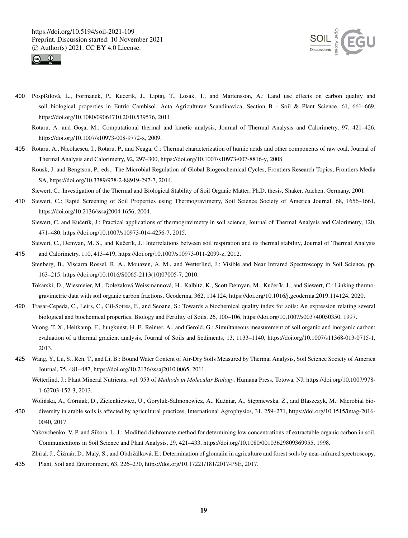



- 400 Pospíšilová, L., Formanek, P., Kucerik, J., Liptaj, T., Losak, T., and Martensson, A.: Land use effects on carbon quality and soil biological properties in Eutric Cambisol, Acta Agriculturae Scandinavica, Section B - Soil & Plant Science, 61, 661–669, https://doi.org/10.1080/09064710.2010.539576, 2011.
	- Rotaru, A. and Gosa, M.: Computational thermal and kinetic analysis, Journal of Thermal Analysis and Calorimetry, 97, 421–426, https://doi.org/10.1007/s10973-008-9772-x, 2009.
- 405 Rotaru, A., Nicolaescu, I., Rotaru, P., and Neaga, C.: Thermal characterization of humic acids and other components of raw coal, Journal of Thermal Analysis and Calorimetry, 92, 297–300, https://doi.org/10.1007/s10973-007-8816-y, 2008.
	- Rousk, J. and Bengtson, P., eds.: The Microbial Regulation of Global Biogeochemical Cycles, Frontiers Research Topics, Frontiers Media SA, https://doi.org/10.3389/978-2-88919-297-7, 2014.

Siewert, C.: Investigation of the Thermal and Biological Stability of Soil Organic Matter, Ph.D. thesis, Shaker, Aachen, Germany, 2001.

- 410 Siewert, C.: Rapid Screening of Soil Properties using Thermogravimetry, Soil Science Society of America Journal, 68, 1656–1661, https://doi.org/10.2136/sssaj2004.1656, 2004.
	- Siewert, C. and Kučerík, J.: Practical applications of thermogravimetry in soil science, Journal of Thermal Analysis and Calorimetry, 120, 471–480, https://doi.org/10.1007/s10973-014-4256-7, 2015.

Siewert, C., Demyan, M. S., and Kučerík, J.: Interrelations between soil respiration and its thermal stability, Journal of Thermal Analysis

- 415 and Calorimetry, 110, 413–419, https://doi.org/10.1007/s10973-011-2099-z, 2012.
- Stenberg, B., Viscarra Rossel, R. A., Mouazen, A. M., and Wetterlind, J.: Visible and Near Infrared Spectroscopy in Soil Science, pp. 163–215, https://doi.org/10.1016/S0065-2113(10)07005-7, 2010.
	- Tokarski, D., Wiesmeier, M., Doležalová Weissmannová, H., Kalbitz, K., Scott Demyan, M., Kučerík, J., and Siewert, C.: Linking thermogravimetric data with soil organic carbon fractions, Geoderma, 362, 114 124, https://doi.org/10.1016/j.geoderma.2019.114124, 2020.
- 420 Trasar-Cepeda, C., Leirs, C., Gil-Sotres, F., and Seoane, S.: Towards a biochemical quality index for soils: An expression relating several biological and biochemical properties, Biology and Fertility of Soils, 26, 100–106, https://doi.org/10.1007/s003740050350, 1997.
	- Vuong, T. X., Heitkamp, F., Jungkunst, H. F., Reimer, A., and Gerold, G.: Simultaneous measurement of soil organic and inorganic carbon: evaluation of a thermal gradient analysis, Journal of Soils and Sediments, 13, 1133–1140, https://doi.org/10.1007/s11368-013-0715-1, 2013.
- 425 Wang, Y., Lu, S., Ren, T., and Li, B.: Bound Water Content of Air-Dry Soils Measured by Thermal Analysis, Soil Science Society of America Journal, 75, 481–487, https://doi.org/10.2136/sssaj2010.0065, 2011.
	- Wetterlind, J.: Plant Mineral Nutrients, vol. 953 of *Methods in Molecular Biology*, Humana Press, Totowa, NJ, https://doi.org/10.1007/978- 1-62703-152-3, 2013.

Wolińska, A., Górniak, D., Zielenkiewicz, U., Goryluk-Salmonowicz, A., Kuźniar, A., Stępniewska, Z., and Błaszczyk, M.: Microbial bio-

- 430 diversity in arable soils is affected by agricultural practices, International Agrophysics, 31, 259–271, https://doi.org/10.1515/intag-2016- 0040, 2017.
	- Yakovchenko, V. P. and Sikora, L. J.: Modified dichromate method for determining low concentrations of extractable organic carbon in soil, Communications in Soil Science and Plant Analysis, 29, 421–433, https://doi.org/10.1080/00103629809369955, 1998.

Zbíral, J., Čižmár, D., Malý, S., and Obdržálková, E.: Determination of glomalin in agriculture and forest soils by near-infrared spectroscopy,

435 Plant, Soil and Environment, 63, 226–230, https://doi.org/10.17221/181/2017-PSE, 2017.